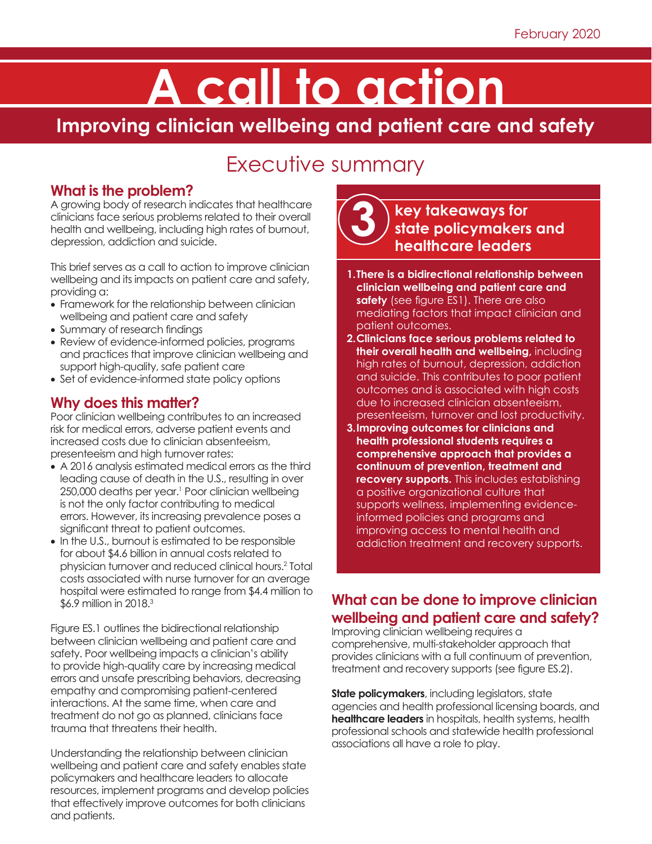# **A call to action**

**Improving clinician wellbeing and patient care and safety**

# Executive summary

#### **What is the problem?**

A growing body of research indicates that healthcare clinicians face serious problems related to their overall health and wellbeing, including high rates of burnout, depression, addiction and suicide.

This brief serves as a call to action to improve clinician wellbeing and its impacts on patient care and safety, providing a:

- Framework for the relationship between clinician wellbeing and patient care and safety
- Summary of research findings
- Review of evidence-informed policies, programs and practices that improve clinician wellbeing and support high-quality, safe patient care
- Set of evidence-informed state policy options

# **Why does this matter?**

Poor clinician wellbeing contributes to an increased risk for medical errors, adverse patient events and increased costs due to clinician absenteeism, presenteeism and high turnover rates:

- A 2016 analysis estimated medical errors as the third leading cause of death in the U.S., resulting in over 250,000 deaths per year.<sup>1</sup> Poor clinician wellbeing is not the only factor contributing to medical errors. However, its increasing prevalence poses a significant threat to patient outcomes.
- In the U.S., burnout is estimated to be responsible for about \$4.6 billion in annual costs related to physician turnover and reduced clinical hours.2 Total costs associated with nurse turnover for an average hospital were estimated to range from \$4.4 million to \$6.9 million in 2018.3

Figure ES.1 outlines the bidirectional relationship between clinician wellbeing and patient care and safety. Poor wellbeing impacts a clinician's ability to provide high-quality care by increasing medical errors and unsafe prescribing behaviors, decreasing empathy and compromising patient-centered interactions. At the same time, when care and treatment do not go as planned, clinicians face trauma that threatens their health.

Understanding the relationship between clinician wellbeing and patient care and safety enables state policymakers and healthcare leaders to allocate resources, implement programs and develop policies that effectively improve outcomes for both clinicians and patients.



# **key takeaways for state policymakers and healthcare leaders**

- **1.There is a bidirectional relationship between clinician wellbeing and patient care and safety** (see figure ES1). There are also mediating factors that impact clinician and patient outcomes.
- **2.Clinicians face serious problems related to their overall health and wellbeing,** including high rates of burnout, depression, addiction and suicide. This contributes to poor patient outcomes and is associated with high costs due to increased clinician absenteeism, presenteeism, turnover and lost productivity.
- **3.Improving outcomes for clinicians and health professional students requires a comprehensive approach that provides a continuum of prevention, treatment and recovery supports.** This includes establishing a positive organizational culture that supports wellness, implementing evidenceinformed policies and programs and improving access to mental health and addiction treatment and recovery supports.

# **What can be done to improve clinician wellbeing and patient care and safety?**

Improving clinician wellbeing requires a comprehensive, multi-stakeholder approach that provides clinicians with a full continuum of prevention, treatment and recovery supports (see figure ES.2).

**State policymakers**, including legislators, state agencies and health professional licensing boards, and **healthcare leaders** in hospitals, health systems, health professional schools and statewide health professional associations all have a role to play.